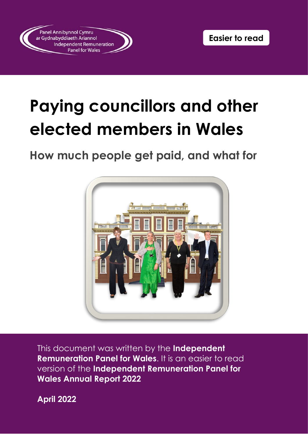

# **Paying councillors and other elected members in Wales**

# **How much people get paid, and what for**



 This document was written by the **Independent Remuneration Panel for Wales**. It is an easier to read version of the **Independent Remuneration Panel for Wales Annual Report 2022** 

**April 2022**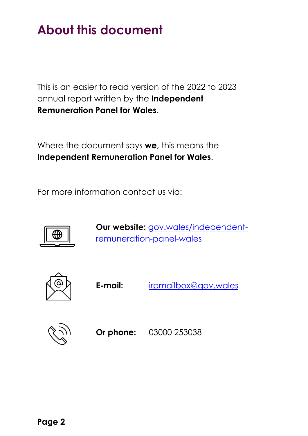# <span id="page-1-0"></span>**About this document**

 This is an easier to read version of the 2022 to 2023 annual report written by the **Independent Remuneration Panel for Wales**.

 Where the document says **we**, this means the **Independent Remuneration Panel for Wales**.

For more information contact us via:



Our website: **[gov.wales/independent](https://gov.wales/independent-remuneration-panel-wales)**[remuneration-panel-wales](https://gov.wales/independent-remuneration-panel-wales) 



E-mail: **E-mail:** [irpmailbox@gov.wales](mailto:irpmailbox@gov.wales) 



**Or phone:** 03000 253038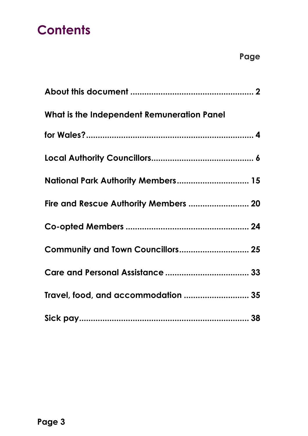# **Contents**

| What is the Independent Remuneration Panel |
|--------------------------------------------|
|                                            |
|                                            |
| National Park Authority Members 15         |
| Fire and Rescue Authority Members  20      |
|                                            |
| Community and Town Councillors 25          |
|                                            |
| Travel, food, and accommodation  35        |
|                                            |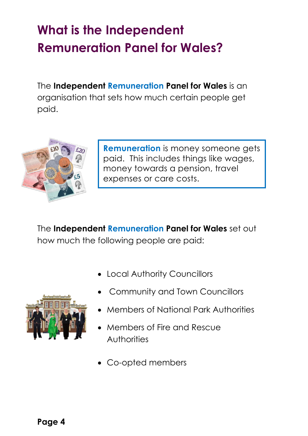# <span id="page-3-0"></span>**What is the Independent Remuneration Panel for Wales?**

 organisation that sets how much certain people get The **Independent Remuneration Panel for Wales** is an paid.



 money towards a pension, travel expenses or care costs. **Remuneration** is money someone gets paid. This includes things like wages,

The **Independent Remuneration Panel for Wales** set out how much the following people are paid:

- Local Authority Councillors
- Community and Town Councillors
- - Members of National Park Authorities
	- • Members of Fire and Rescue Authorities
	- Co-opted members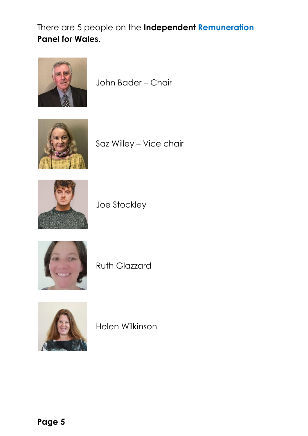There are 5 people on the **Independent Remuneration Panel for Wales**.



John Bader – Chair



Saz Willey – Vice chair



Joe Stockley



Ruth Glazzard



Helen Wilkinson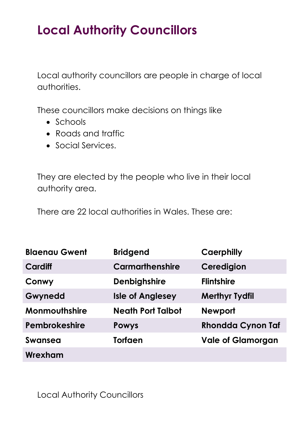# <span id="page-5-0"></span>**Local Authority Councillors**

 Local authority councillors are people in charge of local authorities.

These councillors make decisions on things like

- Schools
- Roads and traffic
- Social Services.

They are elected by the people who live in their local authority area.

There are 22 local authorities in Wales. These are:

| <b>Blaenau Gwent</b> | <b>Bridgend</b>          | Caerphilly               |
|----------------------|--------------------------|--------------------------|
| Cardiff              | <b>Carmarthenshire</b>   | Ceredigion               |
| Conwy                | <b>Denbighshire</b>      | <b>Flintshire</b>        |
| Gwynedd              | <b>Isle of Anglesey</b>  | <b>Merthyr Tydfil</b>    |
| Monmouthshire        | <b>Neath Port Talbot</b> | <b>Newport</b>           |
| Pembrokeshire        | <b>Powys</b>             | <b>Rhondda Cynon Taf</b> |
| <b>Swansea</b>       | <b>Torfaen</b>           | <b>Vale of Glamorgan</b> |
| Wrexham              |                          |                          |

Local Authority Councillors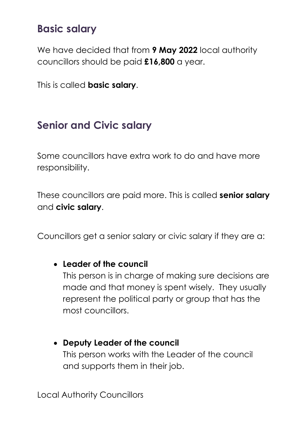### **Basic salary**

 councillors should be paid **£16,800** a year. We have decided that from **9 May 2022** local authority

<span id="page-6-0"></span>This is called **basic salary**.

### **Senior and Civic salary**

 Some councillors have extra work to do and have more responsibility.

 These councillors are paid more. This is called **senior salary**  and **civic salary**.

Councillors get a senior salary or civic salary if they are a:

#### • **Leader of the council**

 made and that money is spent wisely. They usually This person is in charge of making sure decisions are represent the political party or group that has the most councillors.

#### • **Deputy Leader of the council**

 This person works with the Leader of the council and supports them in their job.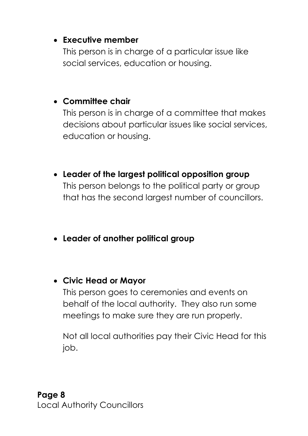#### • **Executive member**

 social services, education or housing. This person is in charge of a particular issue like

#### • **Committee chair**

 education or housing. This person is in charge of a committee that makes decisions about particular issues like social services,

- that has the second largest number of councillors. • **Leader of the largest political opposition group**  This person belongs to the political party or group
- **Leader of another political group**
- **Civic Head or Mayor**

 This person goes to ceremonies and events on behalf of the local authority. They also run some meetings to make sure they are run properly.

Not all local authorities pay their Civic Head for this job.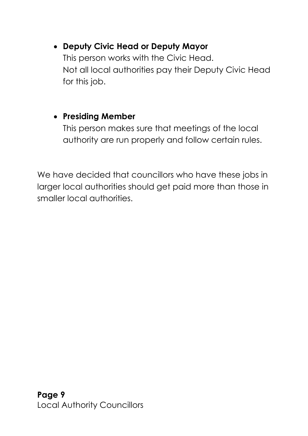#### • **Deputy Civic Head or Deputy Mayor**

 This person works with the Civic Head. Not all local authorities pay their Deputy Civic Head for this job.

### • **Presiding Member**

 This person makes sure that meetings of the local authority are run properly and follow certain rules.

 We have decided that councillors who have these jobs in larger local authorities should get paid more than those in smaller local authorities.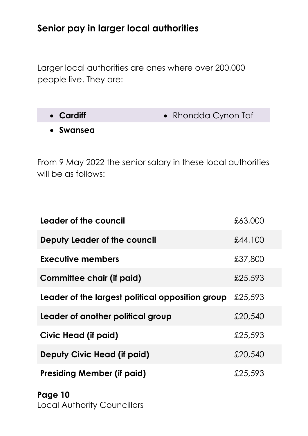### **Senior pay in larger local authorities**

 Larger local authorities are ones where over 200,000 people live. They are:

- Cardiff  **Rhondda Cynon Taf**
- **Swansea**

 will be as follows: From 9 May 2022 the senior salary in these local authorities

| Leader of the council                            | £63,000 |
|--------------------------------------------------|---------|
| Deputy Leader of the council                     | £44,100 |
| Executive members                                | £37,800 |
| Committee chair (if paid)                        | £25,593 |
| Leader of the largest political opposition group | £25,593 |
| Leader of another political group                | £20,540 |
| Civic Head (if paid)                             | £25,593 |
| Deputy Civic Head (if paid)                      | £20,540 |
| Presiding Member (if paid)                       | £25,593 |

**Page 10**  Local Authorit[y Councillors](#page-5-0)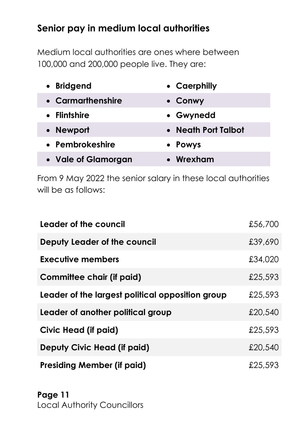### **Senior pay in medium local authorities**

 Medium local authorities are ones where between 100,000 and 200,000 people live. They are:

| • Bridgend          | • Caerphilly        |
|---------------------|---------------------|
| • Carmarthenshire   | • Conwy             |
| <b>Flintshire</b>   | • Gwynedd           |
| • Newport           | • Neath Port Talbot |
| • Pembrokeshire     | • Powys             |
| • Vale of Glamorgan | • Wrexham           |

 will be as follows: From 9 May 2022 the senior salary in these local authorities

| Leader of the council                            | £56,700 |
|--------------------------------------------------|---------|
| Deputy Leader of the council                     | £39,690 |
| Executive members                                | £34,020 |
| Committee chair (if paid)                        | £25,593 |
| Leader of the largest political opposition group | £25,593 |
| Leader of another political group                | £20,540 |
| Civic Head (if paid)                             | £25,593 |
| Deputy Civic Head (if paid)                      | £20,540 |
| <b>Presiding Member (if paid)</b>                | £25,593 |

**Page 11**  Local Authorit[y Councillors](#page-5-0)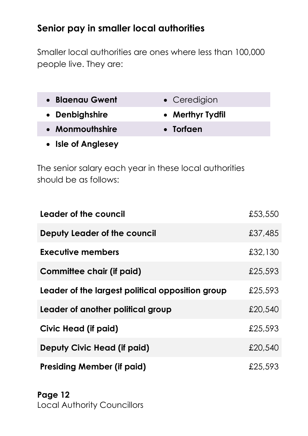### **Senior pay in smaller local authorities**

 people live. They are: Smaller local authorities are ones where less than 100,000

| • Blaenau Gwent | • Ceredigion     |
|-----------------|------------------|
| • Denbighshire  | • Merthyr Tydfil |

- **Monmouthshire Torfaen**
- **Isle of Anglesey**

 The senior salary each year in these local authorities should be as follows:

| Leader of the council                            | £53,550 |
|--------------------------------------------------|---------|
| Deputy Leader of the council                     | £37,485 |
| Executive members                                | £32,130 |
| Committee chair (if paid)                        | £25,593 |
| Leader of the largest political opposition group | £25,593 |
| Leader of another political group                | £20,540 |
| Civic Head (if paid)                             | £25,593 |
| Deputy Civic Head (if paid)                      | £20,540 |
| <b>Presiding Member (if paid)</b>                | £25,593 |

#### **Page 12**  Local Authorit[y Councillors](#page-5-0)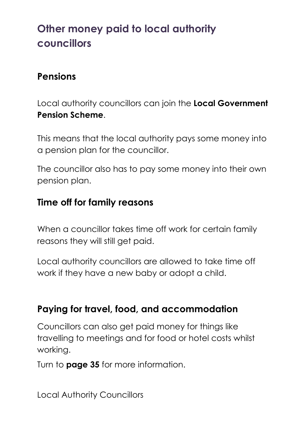# **Other money paid to local authority councillors**

### **Pensions**

Local authority councillors can join the **Local Government Pension Scheme**.

This means that the local authority pays some money into a pension plan for the councillor.

The councillor also has to pay some money into their own pension plan.

#### **Time off for family reasons**

When a councillor takes time off work for certain family reasons they will still get paid.

Local authority councillors are allowed to take time off work if they have a new baby or adopt a child.

### **Paying for travel, food, and accommodation**

Councillors can also get paid money for things like travelling to meetings and for food or hotel costs whilst working.

Turn to **page 35** for more information.

Local Authority Councillors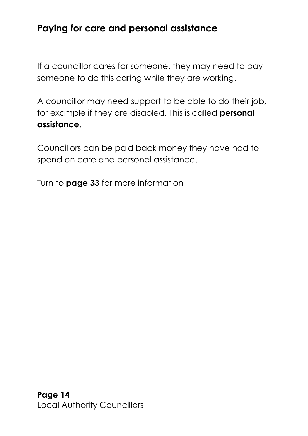### **Paying for care and personal assistance**

 If a councillor cares for someone, they may need to pay someone to do this caring while they are working.

 A councillor may need support to be able to do their job, for example if they are disabled. This is called **personal assistance**.

 Councillors can be paid back money they have had to spend on care and personal assistance.

Turn to **page 33** for more information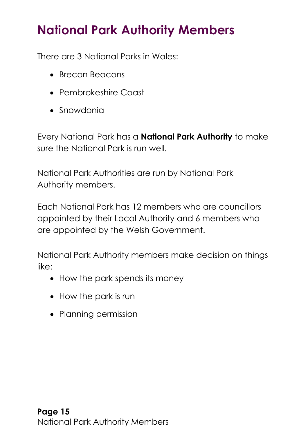# <span id="page-14-0"></span>**National Park Authority Members**

There are 3 National Parks in Wales:

- Brecon Beacons
- Pembrokeshire Coast
- Snowdonia

 Every National Park has a **National Park Authority** to make sure the National Park is run well.

 National Park Authorities are run by National Park Authority members.

 Each National Park has 12 members who are councillors appointed by their Local Authority and 6 members who are appointed by the Welsh Government.

 National Park Authority members make decision on things like:

- How the park spends its money
- How the park is run
- Planning permission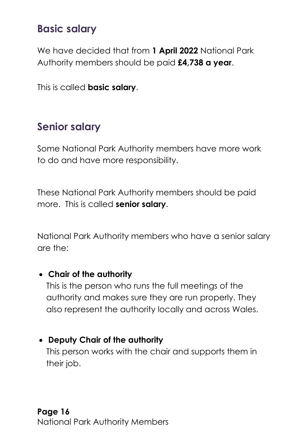### **Basic salary**

 We have decided that from **1 April 2022** National Park Authority members should be paid **£4,738 a year**.

This is called **basic salary**.

### **Senior salary**

 Some National Park Authority members have more work to do and have more responsibility.

 These National Park Authority members should be paid more. This is called **senior salary**.

 National Park Authority members who have a senior salary are the:

#### • **Chair of the authority**

 This is the person who runs the full meetings of the authority and makes sure they are run properly. They also represent the authority locally and across Wales.

#### • **Deputy Chair of the authority**

 This person works with the chair and supports them in their job.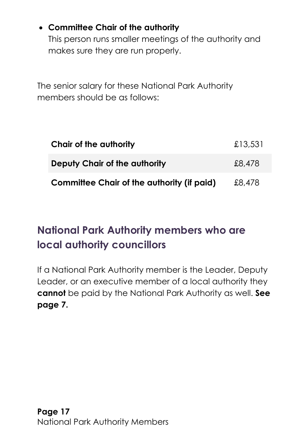### • **Committee Chair of the authority**

 This person runs smaller meetings of the authority and makes sure they are run properly.

 The senior salary for these National Park Authority members should be as follows:

| Chair of the authority                            | £13,531 |
|---------------------------------------------------|---------|
| Deputy Chair of the authority                     | £8,478  |
| <b>Committee Chair of the authority (if paid)</b> | £8,478  |

# **National Park Authority members who are local authority councillors**

 If a National Park Authority member is the Leader, Deputy Leader, or an executive member of a local authority they **cannot** be paid by the National Park Authority as well. **See page [7.](#page-6-0)**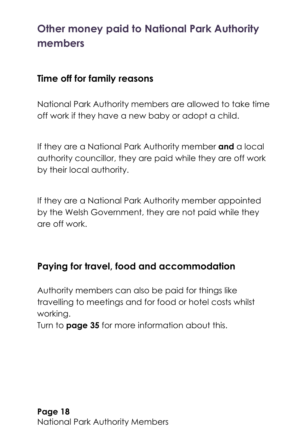## **Other money paid to National Park Authority members**

### **Time off for family reasons**

 National Park Authority members are allowed to take time off work if they have a new baby or adopt a child.

 If they are a National Park Authority member **and** a local authority councillor, they are paid while they are off work by their local authority.

by their local authority.<br>If they are a National Park Authority member appointed by the Welsh Government, they are not paid while they are off work.

### **Paying for travel, food and accommodation**

 Authority members can also be paid for things like travelling to meetings and for food or hotel costs whilst working.

Turn to **page 35** for more information about this.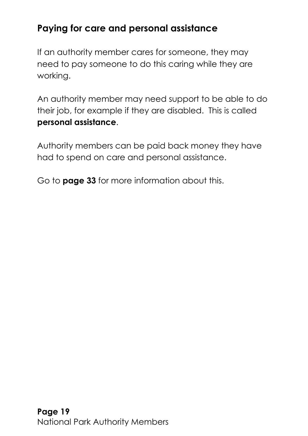### **Paying for care and personal assistance**

 need to pay someone to do this caring while they are If an authority member cares for someone, they may working.

 An authority member may need support to be able to do their job, for example if they are disabled. This is called **personal assistance**.

 Authority members can be paid back money they have had to spend on care and personal assistance.

Go to **page 33** for more information about this.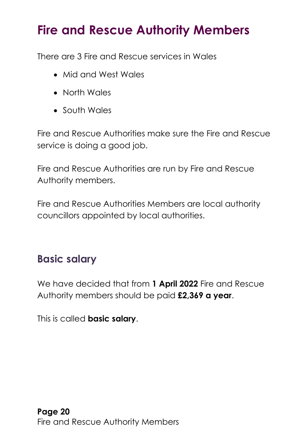# <span id="page-19-0"></span>**Fire and Rescue Authority Members**

There are 3 Fire and Rescue services in Wales

- Mid and West Wales
- North Wales
- South Wales

Fire and Rescue Authorities make sure the Fire and Rescue service is doing a good job.

Fire and Rescue Authorities are run by Fire and Rescue Authority members.

 councillors appointed by local authorities. Fire and Rescue Authorities Members are local authority

## **Basic salary**

 We have decided that from **1 April 2022** Fire and Rescue Authority members should be paid **£2,369 a year**.

This is called **basic salary**.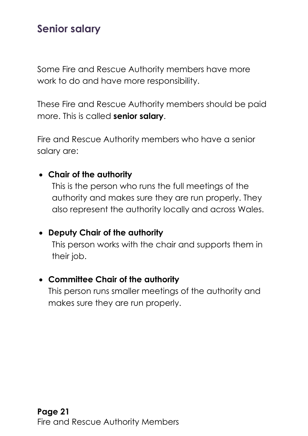## **Senior salary**

 Some Fire and Rescue Authority members have more work to do and have more responsibility.

 These Fire and Rescue Authority members should be paid more. This is called **senior salary**.

Fire and Rescue Authority members who have a senior salary are:

#### • **Chair of the authority**

 This is the person who runs the full meetings of the authority and makes sure they are run properly. They also represent the authority locally and across Wales.

#### • **Deputy Chair of the authority**

 This person works with the chair and supports them in their job.

#### • **Committee Chair of the authority**

 This person runs smaller meetings of the authority and makes sure they are run properly.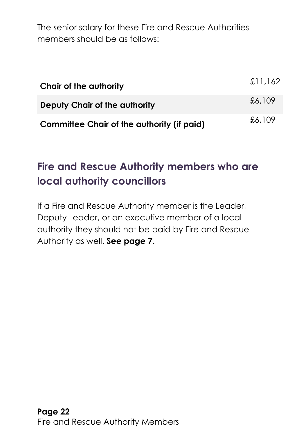The senior salary for these Fire and Rescue Authorities members should be as follows:

| Chair of the authority                            | £11,162 |
|---------------------------------------------------|---------|
| Deputy Chair of the authority                     | £6,109  |
| <b>Committee Chair of the authority (if paid)</b> | £6,109  |

# **Fire and Rescue Authority members who are local authority councillors**

 Deputy Leader, or an executive member of a local authority they should not be paid by Fire and Rescue If a Fire and Rescue Authority member is the Leader, Authority as well. **See page [7](#page-6-0)**.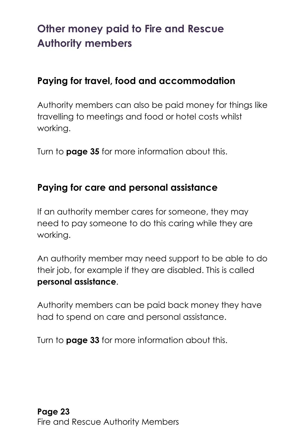## **Other money paid to Fire and Rescue Authority members**

### **Paying for travel, food and accommodation**

 Authority members can also be paid money for things like travelling to meetings and food or hotel costs whilst working.

Turn to **page 35** for more information about this.

### **Paying for care and personal assistance**

 If an authority member cares for someone, they may need to pay someone to do this caring while they are working.

 An authority member may need support to be able to do their job, for example if they are disabled. This is called **personal assistance**.

 had to spend on care and personal assistance. Authority members can be paid back money they have

Turn to **page 33** for more information about this.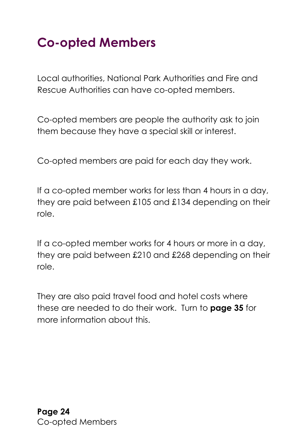# <span id="page-23-0"></span>**Co-opted Members**

 Rescue Authorities can have co-opted members. Local authorities, National Park Authorities and Fire and

 Co-opted members are people the authority ask to join them because they have a special skill or interest.

Co-opted members are paid for each day they work.

 If a co-opted member works for less than 4 hours in a day, they are paid between £105 and £134 depending on their role.

 If a co-opted member works for 4 hours or more in a day, they are paid between £210 and £268 depending on their role.

role.<br>They are also paid travel food and hotel costs where these are needed to do their work. Turn to **page 35** for more information about this.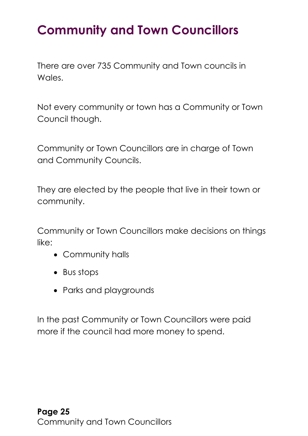# <span id="page-24-0"></span>**Community and Town Councillors**

There are over 735 Community and Town councils in Wales.

 Not every community or town has a Community or Town Council though.

Community or Town Councillors are in charge of Town and Community Councils.

They are elected by the people that live in their town or community.

Community or Town Councillors make decisions on things like:

- Community halls
- Bus stops
- Parks and playgrounds

 more if the council had more money to spend. In the past Community or Town Councillors were paid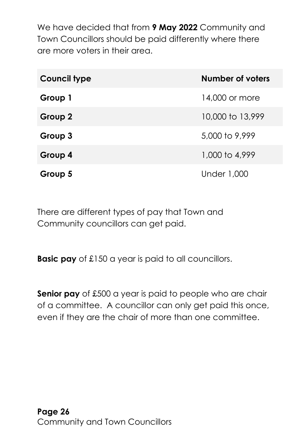We have decided that from **9 May 2022** Community and Town Councillors should be paid differently where there are more voters in their area.

| Council type | Number of voters   |
|--------------|--------------------|
| Group 1      | 14,000 or more     |
| Group 2      | 10,000 to 13,999   |
| Group 3      | 5,000 to 9,999     |
| Group 4      | 1,000 to 4,999     |
| Group 5      | <b>Under 1,000</b> |

There are different types of pay that Town and Community councillors can get paid.

**Basic pay** of £150 a year is paid to all councillors.

 **Senior pay** of £500 a year is paid to people who are chair of a committee. A councillor can only get paid this once, even if they are the chair of more than one committee.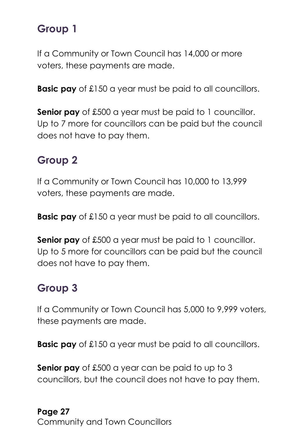# **Group 1**

 If a Community or Town Council has 14,000 or more voters, these payments are made.

**Basic pay** of £150 a year must be paid to all councillors.

 **Senior pay** of £500 a year must be paid to 1 councillor. Up to 7 more for councillors can be paid but the council does not have to pay them.

## **Group 2**

 voters, these payments are made. If a Community or Town Council has 10,000 to 13,999

**Basic pay** of £150 a year must be paid to all councillors.

 **Senior pay** of £500 a year must be paid to 1 councillor. Up to 5 more for councillors can be paid but the council does not have to pay them.

# **Group 3**

 If a Community or Town Council has 5,000 to 9,999 voters, these payments are made.

**Basic pay** of £150 a year must be paid to all councillors.

 **Senior pay** of £500 a year can be paid to up to 3 councillors, but the council does not have to pay them.

#### **Page 27** [Community and Town Councillors](#page-24-0)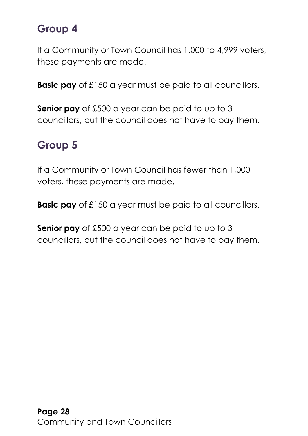## **Group 4**

 If a Community or Town Council has 1,000 to 4,999 voters, these payments are made.

**Basic pay** of £150 a year must be paid to all councillors.

 **Senior pay** of £500 a year can be paid to up to 3 councillors, but the council does not have to pay them.

## **Group 5**

If a Community or Town Council has fewer than 1,000 voters, these payments are made.

**Basic pay** of £150 a year must be paid to all councillors.

 **Senior pay** of £500 a year can be paid to up to 3 councillors, but the council does not have to pay them.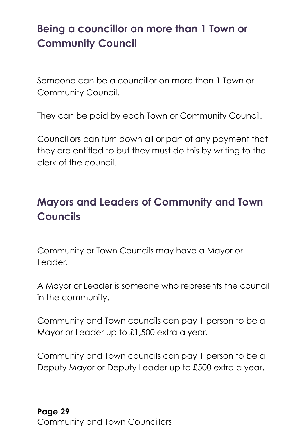## **Being a councillor on more than 1 Town or Community Council**

 Someone can be a councillor on more than 1 Town or Community Council.

They can be paid by each Town or Community Council.

 they are entitled to but they must do this by writing to the Councillors can turn down all or part of any payment that clerk of the council.

# **Mayors and Leaders of Community and Town Councils**

Community or Town Councils may have a Mayor or Leader.

 A Mayor or Leader is someone who represents the council in the community.

 Community and Town councils can pay 1 person to be a Mayor or Leader up to £1,500 extra a year.

 Community and Town councils can pay 1 person to be a Deputy Mayor or Deputy Leader up to £500 extra a year.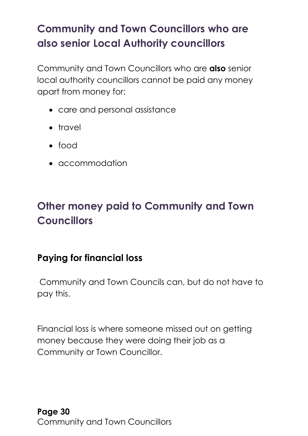# **Community and Town Councillors who are also senior Local Authority councillors**

 apart from money for: Community and Town Councillors who are **also** senior local authority councillors cannot be paid any money

- care and personal assistance
- travel
- food
- accommodation

# **Other money paid to Community and Town Councillors**

### **Paying for financial loss**

 Community and Town Councils can, but do not have to pay this.

 Financial loss is where someone missed out on getting money because they were doing their job as a Community or Town Councillor.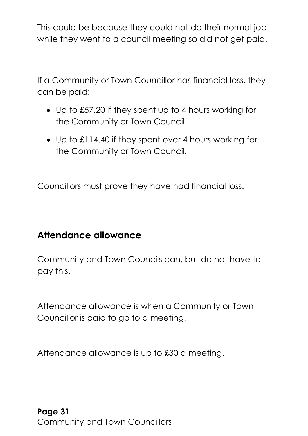This could be because they could not do their normal job while they went to a council meeting so did not get paid.

 can be paid: If a Community or Town Councillor has financial loss, they

- Up to £57.20 if they spent up to 4 hours working for the Community or Town Council
- Up to £114.40 if they spent over 4 hours working for the Community or Town Council.

Councillors must prove they have had financial loss.

### **Attendance allowance**

 Community and Town Councils can, but do not have to pay this.

 Attendance allowance is when a Community or Town Councillor is paid to go to a meeting.

Attendance allowance is up to £30 a meeting.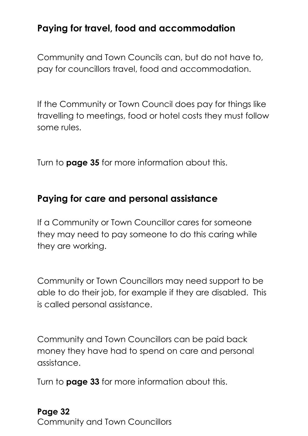### **Paying for travel, food and accommodation**

Community and Town Councils can, but do not have to, pay for councillors travel, food and accommodation.

 If the Community or Town Council does pay for things like travelling to meetings, food or hotel costs they must follow some rules.

Turn to **page 35** for more information about this.

### **Paying for care and personal assistance**

 they may need to pay someone to do this caring while If a Community or Town Councillor cares for someone they are working.

 Community or Town Councillors may need support to be able to do their job, for example if they are disabled. This is called personal assistance.

 money they have had to spend on care and personal Community and Town Councillors can be paid back assistance.

Turn to **page 33** for more information about this.

#### **Page 32** [Community and Town Councillors](#page-24-0)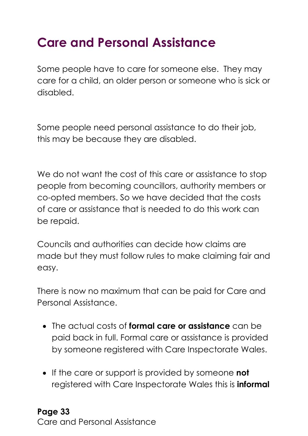# <span id="page-32-0"></span>**Care and Personal Assistance**

 Some people have to care for someone else. They may care for a child, an older person or someone who is sick or disabled.

 Some people need personal assistance to do their job, this may be because they are disabled.

 We do not want the cost of this care or assistance to stop of care or assistance that is needed to do this work can people from becoming councillors, authority members or co-opted members. So we have decided that the costs be repaid.

 Councils and authorities can decide how claims are made but they must follow rules to make claiming fair and easy.

 There is now no maximum that can be paid for Care and Personal Assistance.

- paid back in full. Formal care or assistance is provided • The actual costs of **formal care or assistance** can be by someone registered with Care Inspectorate Wales.
- • If the care or support is provided by someone **not**  registered with Care Inspectorate Wales this is **informal**

#### **Page 33** [Care and Personal Assistance](#page-32-0)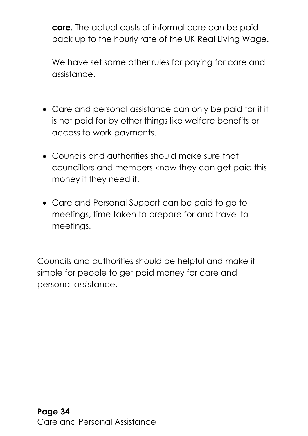**care**. The actual costs of informal care can be paid back up to the hourly rate of the UK Real Living Wage.

We have set some other rules for paying for care and assistance.

- is not paid for by other things like welfare benefits or access to work payments. • Care and personal assistance can only be paid for if it
- • Councils and authorities should make sure that councillors and members know they can get paid this money if they need it.
- • Care and Personal Support can be paid to go to meetings, time taken to prepare for and travel to meetings.

 simple for people to get paid money for care and Councils and authorities should be helpful and make it personal assistance.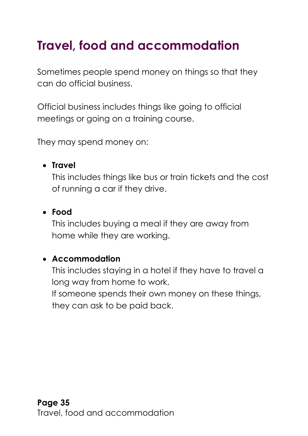# <span id="page-34-0"></span>**Travel, food and accommodation**

 Sometimes people spend money on things so that they can do official business.

 meetings or going on a training course. Official business includes things like going to official

They may spend money on:

#### • **Travel**

 This includes things like bus or train tickets and the cost of running a car if they drive.

#### • **Food**

 home while they are working. This includes buying a meal if they are away from

#### • **Accommodation**

 This includes staying in a hotel if they have to travel a If someone spends their own money on these things, long way from home to work. they can ask to be paid back.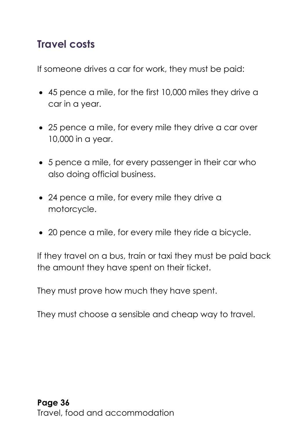### **Travel costs**

If someone drives a car for work, they must be paid:

- • 45 pence a mile, for the first 10,000 miles they drive a car in a year.
- • 25 pence a mile, for every mile they drive a car over 10,000 in a year.
- • 5 pence a mile, for every passenger in their car who also doing official business.
- • 24 pence a mile, for every mile they drive a motorcycle.
- 20 pence a mile, for every mile they ride a bicycle.

 If they travel on a bus, train or taxi they must be paid back the amount they have spent on their ticket.

They must prove how much they have spent.

They must choose a sensible and cheap way to travel.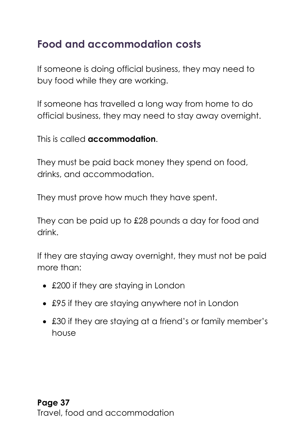## **Food and accommodation costs**

 If someone is doing official business, they may need to buy food while they are working.

 If someone has travelled a long way from home to do official business, they may need to stay away overnight.

This is called **accommodation**.

 They must be paid back money they spend on food, drinks, and accommodation.

They must prove how much they have spent.

 They can be paid up to £28 pounds a day for food and drink.

drink.<br>If they are staying away overnight, they must not be paid more than:

- £200 if they are staying in London
- £95 if they are staying anywhere not in London
- • £30 if they are staying at a friend's or family member's house